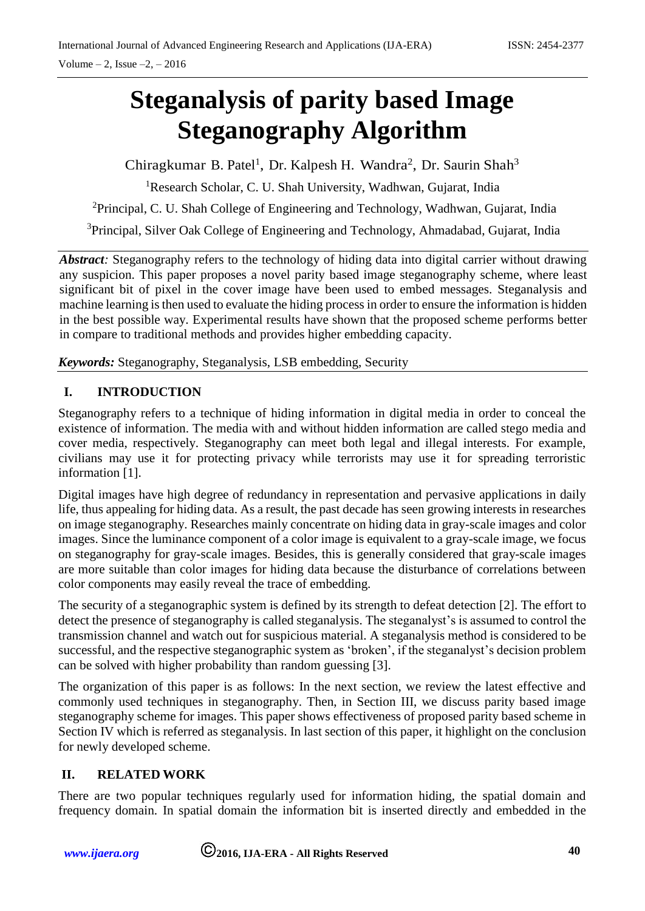# **Steganalysis of parity based Image Steganography Algorithm**

Chiragkumar B. Patel<sup>1</sup>, Dr. Kalpesh H. Wandra<sup>2</sup>, Dr. Saurin Shah<sup>3</sup>

<sup>1</sup>Research Scholar, C. U. Shah University, Wadhwan, Gujarat, India

<sup>2</sup>Principal, C. U. Shah College of Engineering and Technology, Wadhwan, Gujarat, India

<sup>3</sup>Principal, Silver Oak College of Engineering and Technology, Ahmadabad, Gujarat, India

*Abstract:* Steganography refers to the technology of hiding data into digital carrier without drawing any suspicion. This paper proposes a novel parity based image steganography scheme, where least significant bit of pixel in the cover image have been used to embed messages. Steganalysis and machine learning is then used to evaluate the hiding process in order to ensure the information is hidden in the best possible way. Experimental results have shown that the proposed scheme performs better in compare to traditional methods and provides higher embedding capacity.

*Keywords:* Steganography, Steganalysis, LSB embedding, Security

## **I. INTRODUCTION**

Steganography refers to a technique of hiding information in digital media in order to conceal the existence of information. The media with and without hidden information are called stego media and cover media, respectively. Steganography can meet both legal and illegal interests. For example, civilians may use it for protecting privacy while terrorists may use it for spreading terroristic information [1].

Digital images have high degree of redundancy in representation and pervasive applications in daily life, thus appealing for hiding data. As a result, the past decade has seen growing interests in researches on image steganography. Researches mainly concentrate on hiding data in gray-scale images and color images. Since the luminance component of a color image is equivalent to a gray-scale image, we focus on steganography for gray-scale images. Besides, this is generally considered that gray-scale images are more suitable than color images for hiding data because the disturbance of correlations between color components may easily reveal the trace of embedding.

The security of a steganographic system is defined by its strength to defeat detection [2]. The effort to detect the presence of steganography is called steganalysis. The steganalyst's is assumed to control the transmission channel and watch out for suspicious material. A steganalysis method is considered to be successful, and the respective steganographic system as 'broken', if the steganalyst's decision problem can be solved with higher probability than random guessing [3].

The organization of this paper is as follows: In the next section, we review the latest effective and commonly used techniques in steganography. Then, in Section III, we discuss parity based image steganography scheme for images. This paper shows effectiveness of proposed parity based scheme in Section IV which is referred as steganalysis. In last section of this paper, it highlight on the conclusion for newly developed scheme.

# **II. RELATED WORK**

There are two popular techniques regularly used for information hiding, the spatial domain and frequency domain. In spatial domain the information bit is inserted directly and embedded in the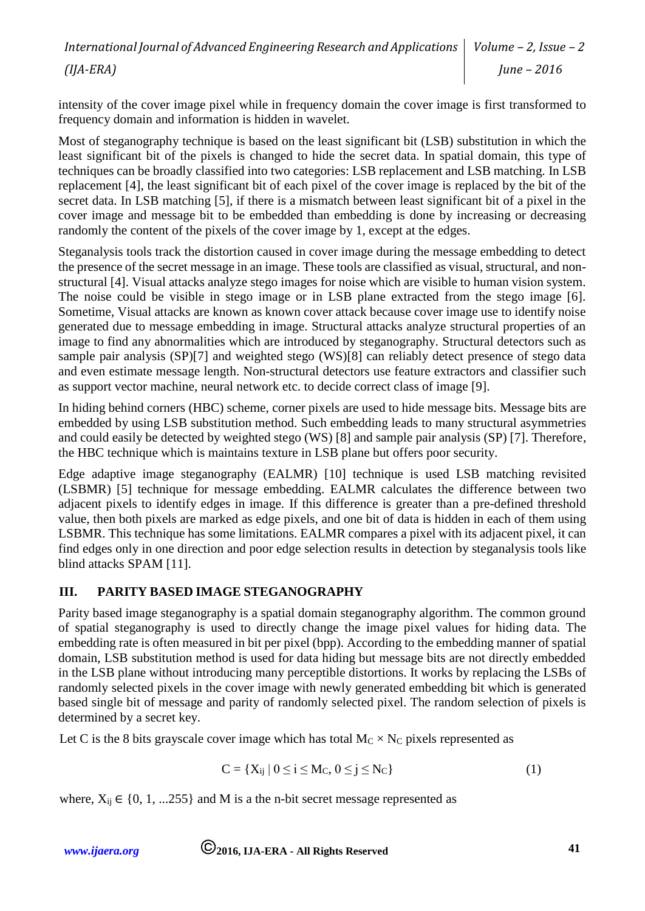intensity of the cover image pixel while in frequency domain the cover image is first transformed to frequency domain and information is hidden in wavelet.

Most of steganography technique is based on the least significant bit (LSB) substitution in which the least significant bit of the pixels is changed to hide the secret data. In spatial domain, this type of techniques can be broadly classified into two categories: LSB replacement and LSB matching. In LSB replacement [4], the least significant bit of each pixel of the cover image is replaced by the bit of the secret data. In LSB matching [5], if there is a mismatch between least significant bit of a pixel in the cover image and message bit to be embedded than embedding is done by increasing or decreasing randomly the content of the pixels of the cover image by 1, except at the edges.

Steganalysis tools track the distortion caused in cover image during the message embedding to detect the presence of the secret message in an image. These tools are classified as visual, structural, and nonstructural [4]. Visual attacks analyze stego images for noise which are visible to human vision system. The noise could be visible in stego image or in LSB plane extracted from the stego image [6]. Sometime, Visual attacks are known as known cover attack because cover image use to identify noise generated due to message embedding in image. Structural attacks analyze structural properties of an image to find any abnormalities which are introduced by steganography. Structural detectors such as sample pair analysis (SP)[7] and weighted stego (WS)[8] can reliably detect presence of stego data and even estimate message length. Non-structural detectors use feature extractors and classifier such as support vector machine, neural network etc. to decide correct class of image [9].

In hiding behind corners (HBC) scheme, corner pixels are used to hide message bits. Message bits are embedded by using LSB substitution method. Such embedding leads to many structural asymmetries and could easily be detected by weighted stego (WS) [8] and sample pair analysis (SP) [7]. Therefore, the HBC technique which is maintains texture in LSB plane but offers poor security.

Edge adaptive image steganography (EALMR) [10] technique is used LSB matching revisited (LSBMR) [5] technique for message embedding. EALMR calculates the difference between two adjacent pixels to identify edges in image. If this difference is greater than a pre-defined threshold value, then both pixels are marked as edge pixels, and one bit of data is hidden in each of them using LSBMR. This technique has some limitations. EALMR compares a pixel with its adjacent pixel, it can find edges only in one direction and poor edge selection results in detection by steganalysis tools like blind attacks SPAM [11].

# **III. PARITY BASED IMAGE STEGANOGRAPHY**

Parity based image steganography is a spatial domain steganography algorithm. The common ground of spatial steganography is used to directly change the image pixel values for hiding data. The embedding rate is often measured in bit per pixel (bpp). According to the embedding manner of spatial domain, LSB substitution method is used for data hiding but message bits are not directly embedded in the LSB plane without introducing many perceptible distortions. It works by replacing the LSBs of randomly selected pixels in the cover image with newly generated embedding bit which is generated based single bit of message and parity of randomly selected pixel. The random selection of pixels is determined by a secret key.

Let C is the 8 bits grayscale cover image which has total  $M_C \times N_C$  pixels represented as

$$
C = \{X_{ij} \mid 0 \le i \le M_C, 0 \le j \le N_C\}
$$
 (1)

where,  $X_{ii} \in \{0, 1, ...255\}$  and M is a the n-bit secret message represented as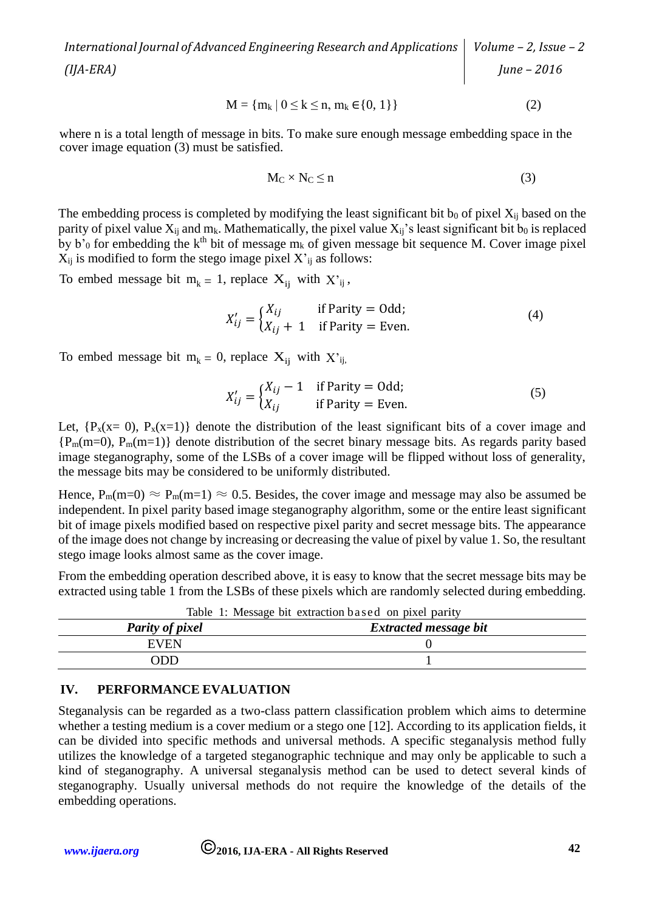$$
M = \{m_k \mid 0 \le k \le n, m_k \in \{0, 1\}\}\
$$
 (2)

where n is a total length of message in bits. To make sure enough message embedding space in the cover image equation (3) must be satisfied.

$$
M_C \times N_C \le n \tag{3}
$$

The embedding process is completed by modifying the least significant bit  $b_0$  of pixel  $X_{ii}$  based on the parity of pixel value  $X_{ij}$  and  $m_k$ . Mathematically, the pixel value  $X_{ij}$ 's least significant bit  $b_0$  is replaced by b'<sub>0</sub> for embedding the k<sup>th</sup> bit of message m<sub>k</sub> of given message bit sequence M. Cover image pixel  $X_{ij}$  is modified to form the stego image pixel  $X'_{ij}$  as follows:

To embed message bit  $m_k = 1$ , replace  $X_{ii}$  with  $X'_{ii}$ ,

$$
X'_{ij} = \begin{cases} X_{ij} & \text{if Parity} = \text{Odd;} \\ X_{ij} + 1 & \text{if Parity} = \text{Even.} \end{cases}
$$
 (4)

To embed message bit  $m_k = 0$ , replace  $X_{ij}$  with  $X'_{ij}$ ,

$$
X'_{ij} = \begin{cases} X_{ij} - 1 & \text{if Parity} = \text{Odd;} \\ X_{ij} & \text{if Parity} = \text{Even.} \end{cases}
$$
 (5)

Let,  $\{P_x(x= 0), P_x(x=1)\}\$  denote the distribution of the least significant bits of a cover image and  ${P_m(m=0), P_m(m=1)}$  denote distribution of the secret binary message bits. As regards parity based image steganography, some of the LSBs of a cover image will be flipped without loss of generality, the message bits may be considered to be uniformly distributed.

Hence,  $P_m(m=0) \approx P_m(m=1) \approx 0.5$ . Besides, the cover image and message may also be assumed be independent. In pixel parity based image steganography algorithm, some or the entire least significant bit of image pixels modified based on respective pixel parity and secret message bits. The appearance of the image does not change by increasing or decreasing the value of pixel by value 1. So, the resultant stego image looks almost same as the cover image.

From the embedding operation described above, it is easy to know that the secret message bits may be extracted using table 1 from the LSBs of these pixels which are randomly selected during embedding.

|                        | Table 1. Message bit extraction based on pixel partly |
|------------------------|-------------------------------------------------------|
| <b>Parity of pixel</b> | <b>Extracted message bit</b>                          |
| <b>EVEN</b>            |                                                       |
| ODD                    |                                                       |
|                        |                                                       |

Table 1: Message bit extraction based on pixel parity

#### **IV. PERFORMANCE EVALUATION**

Steganalysis can be regarded as a two-class pattern classification problem which aims to determine whether a testing medium is a cover medium or a stego one [12]. According to its application fields, it can be divided into specific methods and universal methods. A specific steganalysis method fully utilizes the knowledge of a targeted steganographic technique and may only be applicable to such a kind of steganography. A universal steganalysis method can be used to detect several kinds of steganography. Usually universal methods do not require the knowledge of the details of the embedding operations.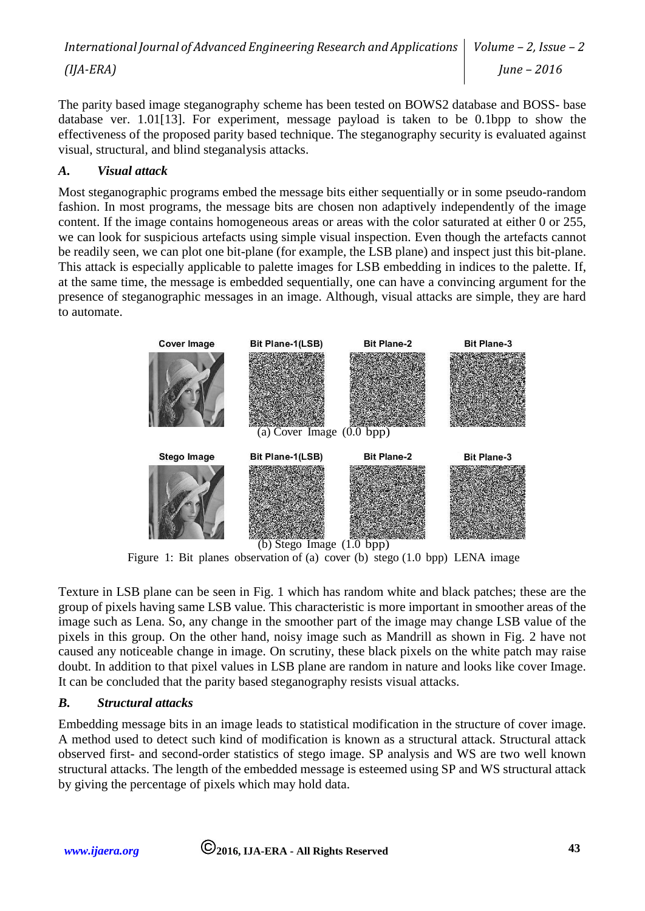The parity based image steganography scheme has been tested on BOWS2 database and BOSS- base database ver. 1.01[13]. For experiment, message payload is taken to be 0.1bpp to show the effectiveness of the proposed parity based technique. The steganography security is evaluated against visual, structural, and blind steganalysis attacks.

## *A. Visual attack*

Most steganographic programs embed the message bits either sequentially or in some pseudo-random fashion. In most programs, the message bits are chosen non adaptively independently of the image content. If the image contains homogeneous areas or areas with the color saturated at either 0 or 255, we can look for suspicious artefacts using simple visual inspection. Even though the artefacts cannot be readily seen, we can plot one bit-plane (for example, the LSB plane) and inspect just this bit-plane. This attack is especially applicable to palette images for LSB embedding in indices to the palette. If, at the same time, the message is embedded sequentially, one can have a convincing argument for the presence of steganographic messages in an image. Although, visual attacks are simple, they are hard to automate.



Figure 1: Bit planes observation of (a) cover (b) stego (1.0 bpp) LENA image

Texture in LSB plane can be seen in Fig. 1 which has random white and black patches; these are the group of pixels having same LSB value. This characteristic is more important in smoother areas of the image such as Lena. So, any change in the smoother part of the image may change LSB value of the pixels in this group. On the other hand, noisy image such as Mandrill as shown in Fig. 2 have not caused any noticeable change in image. On scrutiny, these black pixels on the white patch may raise doubt. In addition to that pixel values in LSB plane are random in nature and looks like cover Image. It can be concluded that the parity based steganography resists visual attacks.

#### *B. Structural attacks*

Embedding message bits in an image leads to statistical modification in the structure of cover image. A method used to detect such kind of modification is known as a structural attack. Structural attack observed first- and second-order statistics of stego image. SP analysis and WS are two well known structural attacks. The length of the embedded message is esteemed using SP and WS structural attack by giving the percentage of pixels which may hold data.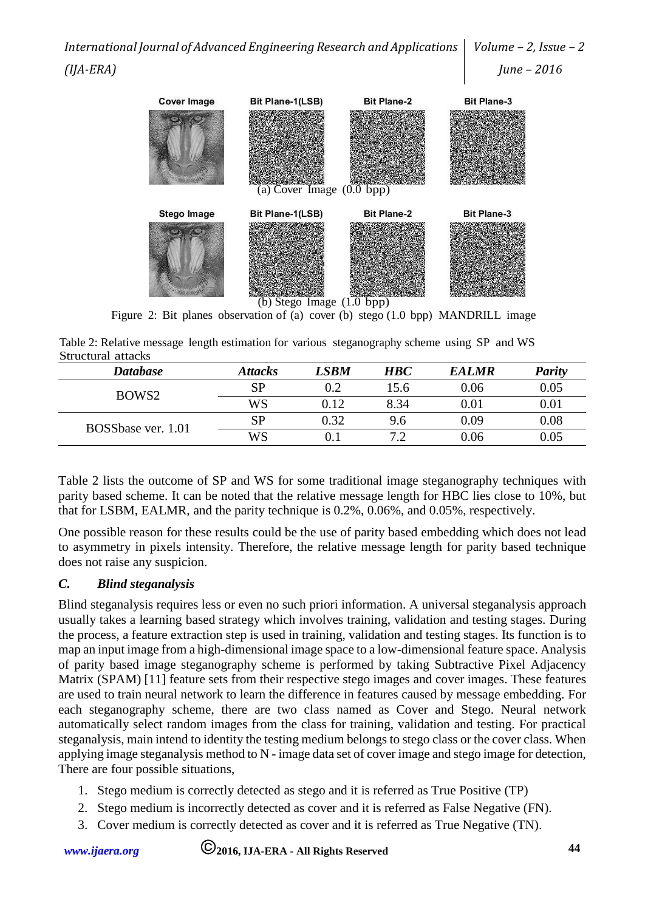

Figure 2: Bit planes observation of (a) cover (b) stego (1.0 bpp) MANDRILL image

Table 2: Relative message length estimation for various steganography scheme using SP and WS Structural attacks

| <b>Database</b>    | <b>Attacks</b> | LSBM | <b>HBC</b> | <b>EALMR</b> | <b>Parity</b> |
|--------------------|----------------|------|------------|--------------|---------------|
| BOWS <sub>2</sub>  | <b>SP</b>      | 0.2  | .5.6       | 0.06         | 0.05          |
|                    | WS             | 0.12 | 8.34       | 0.01         | 0.01          |
| BOSSbase ver. 1.01 | <b>SP</b>      | 0.32 | 9.6        | 0.09         | 0.08          |
|                    | WS             |      |            | 0.06         | 0.05          |

Table 2 lists the outcome of SP and WS for some traditional image steganography techniques with parity based scheme. It can be noted that the relative message length for HBC lies close to 10%, but that for LSBM, EALMR, and the parity technique is 0.2%, 0.06%, and 0.05%, respectively.

One possible reason for these results could be the use of parity based embedding which does not lead to asymmetry in pixels intensity. Therefore, the relative message length for parity based technique does not raise any suspicion.

## *C. Blind steganalysis*

Blind steganalysis requires less or even no such priori information. A universal steganalysis approach usually takes a learning based strategy which involves training, validation and testing stages. During the process, a feature extraction step is used in training, validation and testing stages. Its function is to map an input image from a high-dimensional image space to a low-dimensional feature space. Analysis of parity based image steganography scheme is performed by taking Subtractive Pixel Adjacency Matrix (SPAM) [11] feature sets from their respective stego images and cover images. These features are used to train neural network to learn the difference in features caused by message embedding. For each steganography scheme, there are two class named as Cover and Stego. Neural network automatically select random images from the class for training, validation and testing. For practical steganalysis, main intend to identity the testing medium belongs to stego class or the cover class. When applying image steganalysis method to N - image data set of cover image and stego image for detection, There are four possible situations,

- 1. Stego medium is correctly detected as stego and it is referred as True Positive (TP)
- 2. Stego medium is incorrectly detected as cover and it is referred as False Negative (FN).
- 3. Cover medium is correctly detected as cover and it is referred as True Negative (TN).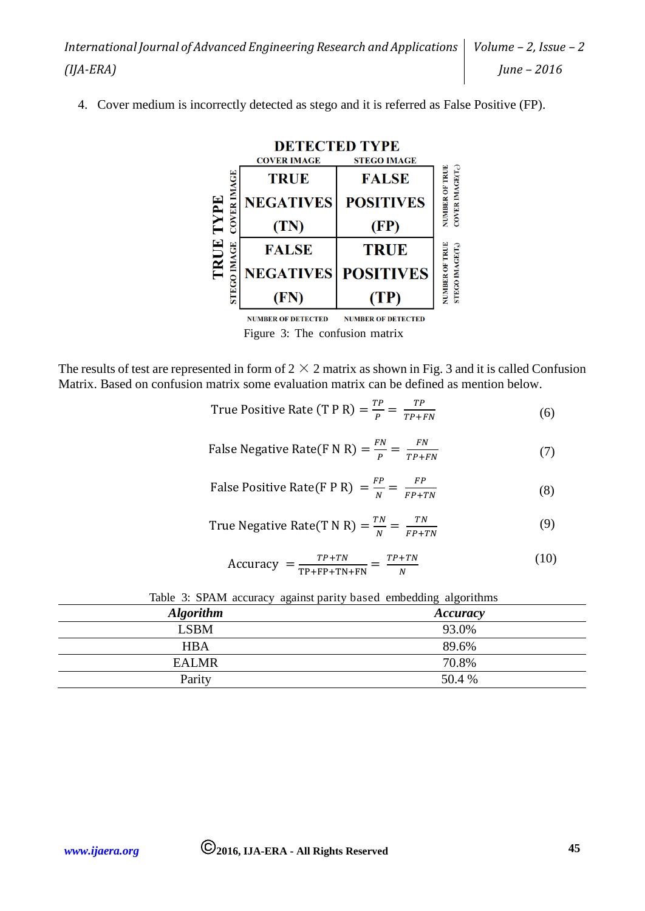4. Cover medium is incorrectly detected as stego and it is referred as False Positive (FP).



**NUMBER OF DETECTED NUMBER OF DETECTED** Figure 3: The confusion matrix

The results of test are represented in form of  $2 \times 2$  matrix as shown in Fig. 3 and it is called Confusion Matrix. Based on confusion matrix some evaluation matrix can be defined as mention below.

True Positive Rate (T P R) = 
$$
\frac{TP}{P}
$$
 =  $\frac{TP}{TP+FN}$  (6)

False Negative Rate(F N R) = 
$$
\frac{FN}{P}
$$
 =  $\frac{FN}{TP+FN}$  (7)

False Positive Rate(F P R) = 
$$
\frac{FP}{N}
$$
 =  $\frac{FP}{FP+TN}$  (8)

True Negative Rate(T N R) = 
$$
\frac{TN}{N}
$$
 =  $\frac{TN}{FP + TN}$  (9)

$$
Accuracy = \frac{TP + TN}{TP + FP + TN + FN} = \frac{TP + TN}{N}
$$
 (10)

|                  | Table 5. STTTM accuracy against partly based chocauing argorithmis |
|------------------|--------------------------------------------------------------------|
| <b>Algorithm</b> | Accuracy                                                           |
| <b>LSBM</b>      | 93.0%                                                              |
| <b>HBA</b>       | 89.6%                                                              |
| <b>EALMR</b>     | 70.8%                                                              |
| Parity           | 50.4 %                                                             |

| Table 3: SPAM accuracy against parity based embedding algorithms |  |  |  |
|------------------------------------------------------------------|--|--|--|
|------------------------------------------------------------------|--|--|--|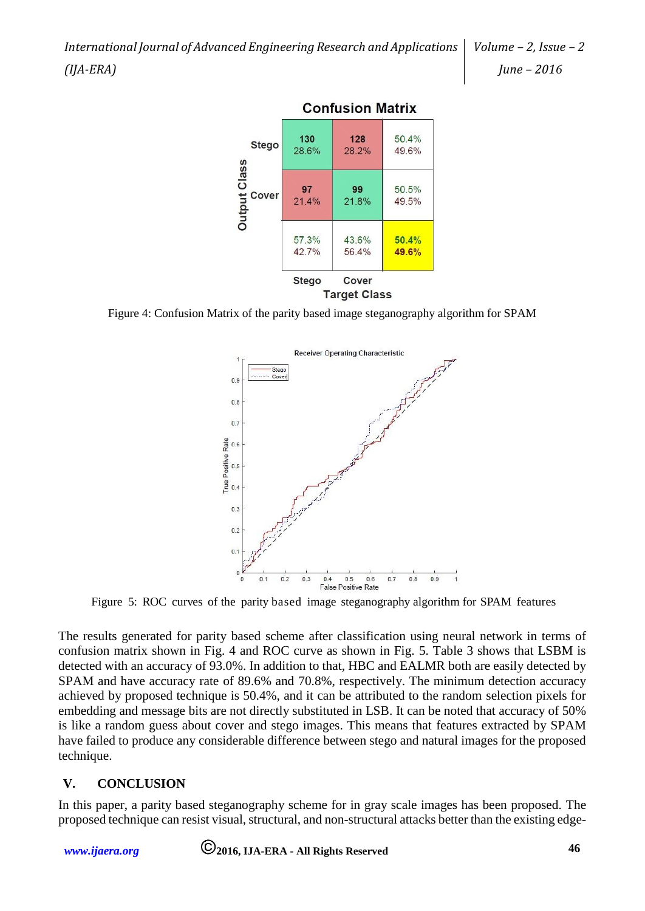*International Journal of Advanced Engineering Research and Applications (IJA-ERA)*



**Confusion Matrix** 

Figure 4: Confusion Matrix of the parity based image steganography algorithm for SPAM



Figure 5: ROC curves of the parity based image steganography algorithm for SPAM features

The results generated for parity based scheme after classification using neural network in terms of confusion matrix shown in Fig. 4 and ROC curve as shown in Fig. 5. Table 3 shows that LSBM is detected with an accuracy of 93.0%. In addition to that, HBC and EALMR both are easily detected by SPAM and have accuracy rate of 89.6% and 70.8%, respectively. The minimum detection accuracy achieved by proposed technique is 50.4%, and it can be attributed to the random selection pixels for embedding and message bits are not directly substituted in LSB. It can be noted that accuracy of 50% is like a random guess about cover and stego images. This means that features extracted by SPAM have failed to produce any considerable difference between stego and natural images for the proposed technique.

# **V. CONCLUSION**

In this paper, a parity based steganography scheme for in gray scale images has been proposed. The proposed technique can resist visual, structural, and non-structural attacks better than the existing edge-